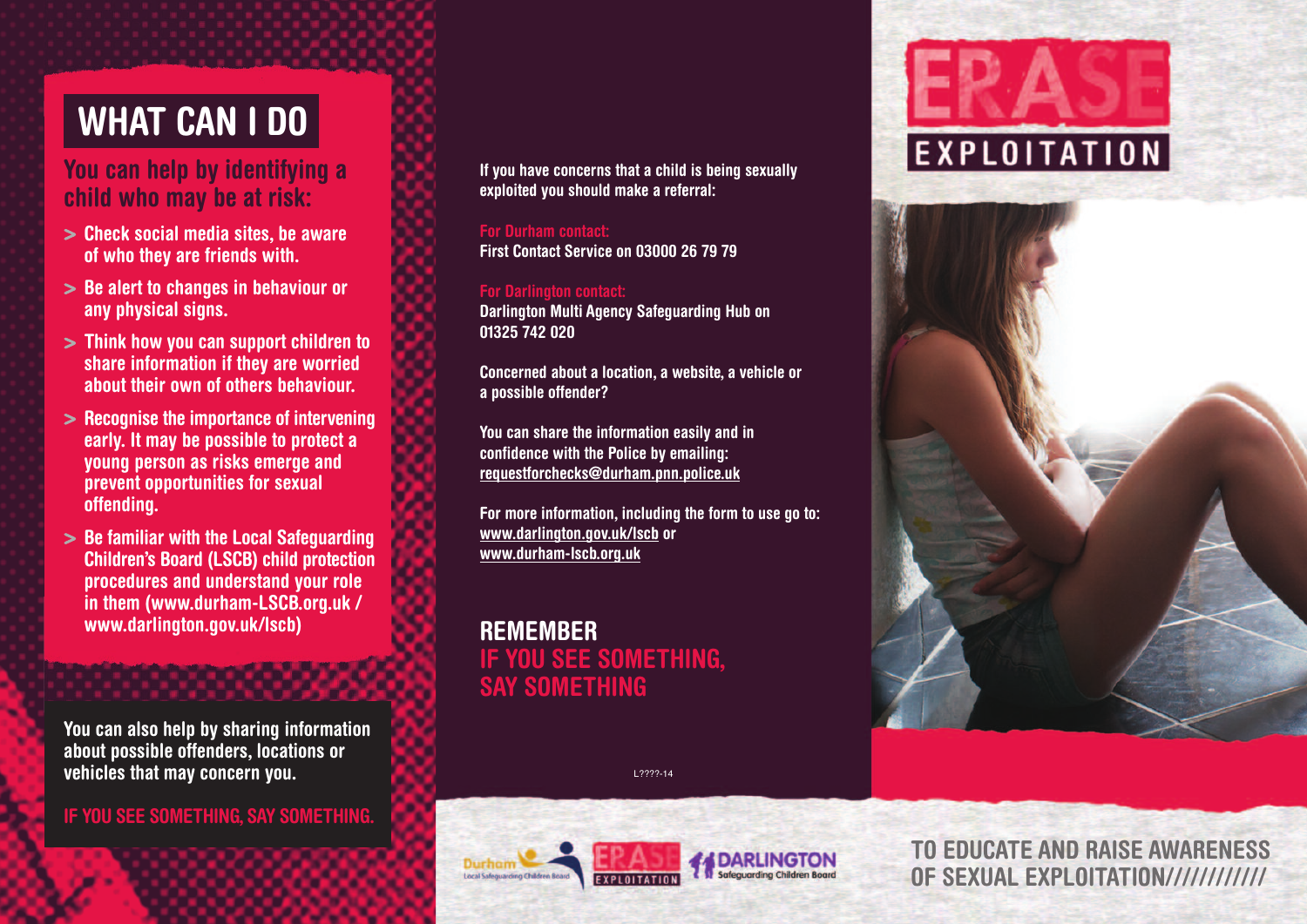# **WHAt CAn I Do**

### **You can help by identifying a child who may be at risk:**

- **> Check social media sites, be aware of who they are friends with.**
- **> be alert to changes in behaviour or any physical signs.**
- **> think how you can support children to share information if they are worried about their own of others behaviour.**
- **> Recognise the importance of intervening early. It may be possible to protect a young person as risks emerge and prevent opportunities for sexual offending.**
- **> be familiar with the Local Safeguarding Children's board (LSCb) child protection procedures and understand your role in them (www.durham-LSCb.org.uk / www.darlington.gov.uk/lscb)**

**You can also help by sharing information about possible offenders, locations or vehicles that may concern you.**

**IF You See SoMetHIng, SAY SoMetHIng.**

**If you have concerns that a child is being sexually exploited you should make a referral:**

**For Durham contact: First Contact Service on 03000 26 79 79**

**For Darlington contact: Darlington Multi Agency Safeguarding Hub on 01325 742 020**

**Concerned about a location, a website, a vehicle or a possible offender?**

**You can share the information easily and in confidence with the Police by emailing: requestforchecks@durham.pnn.police.uk**

**For more information, including the form to use go to: www.darlington.gov.uk/lscb or www.durham-lscb.org.uk**

**ReMeMbeR IF You See SoMetHIng, SAY SoMetHIng**





L????-14



**to eDuCAte AnD RAISe AWAReneSS oF SexuAL exPLoItAtIon////////////**